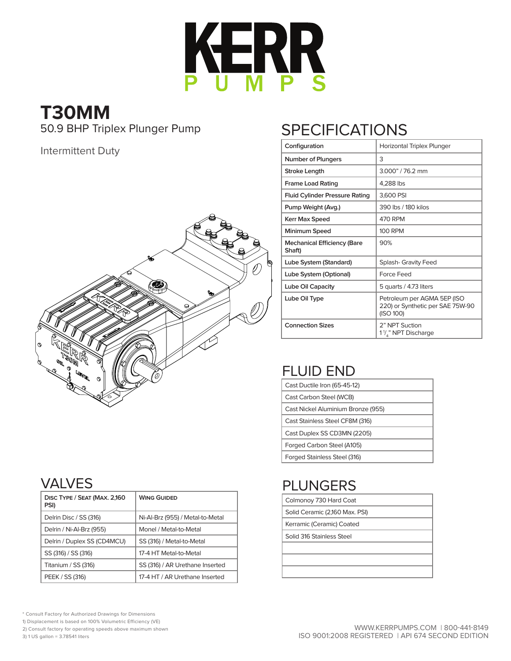

# **T30MM**

50.9 BHP Triplex Plunger Pump

#### Intermittent Duty



### **SPECIFICATIONS**

| Configuration                                | Horizontal Triplex Plunger                                                   |  |  |  |  |  |  |  |  |
|----------------------------------------------|------------------------------------------------------------------------------|--|--|--|--|--|--|--|--|
| <b>Number of Plungers</b>                    | 3                                                                            |  |  |  |  |  |  |  |  |
| <b>Stroke Length</b>                         | 3.000" / 76.2 mm                                                             |  |  |  |  |  |  |  |  |
| <b>Frame Load Rating</b>                     | 4,288 lbs                                                                    |  |  |  |  |  |  |  |  |
| <b>Fluid Cylinder Pressure Rating</b>        | 3,600 PSI                                                                    |  |  |  |  |  |  |  |  |
| Pump Weight (Avg.)                           | 390 lbs / 180 kilos                                                          |  |  |  |  |  |  |  |  |
| <b>Kerr Max Speed</b>                        | 470 RPM                                                                      |  |  |  |  |  |  |  |  |
| Minimum Speed                                | <b>100 RPM</b>                                                               |  |  |  |  |  |  |  |  |
| <b>Mechanical Efficiency (Bare</b><br>Shaft) | 90%                                                                          |  |  |  |  |  |  |  |  |
| Lube System (Standard)                       | <b>Splash- Gravity Feed</b>                                                  |  |  |  |  |  |  |  |  |
| Lube System (Optional)                       | Force Feed                                                                   |  |  |  |  |  |  |  |  |
| Lube Oil Capacity                            | 5 quarts / 4.73 liters                                                       |  |  |  |  |  |  |  |  |
| Lube Oil Type                                | Petroleum per AGMA 5EP (ISO<br>220) or Synthetic per SAE 75W-90<br>(ISO 100) |  |  |  |  |  |  |  |  |
| <b>Connection Sizes</b>                      | 2" NPT Suction<br>1 <sup>1</sup> /," NPT Discharge                           |  |  |  |  |  |  |  |  |

#### FLUID END

| Cast Ductile Iron (65-45-12)       |
|------------------------------------|
| Cast Carbon Steel (WCB)            |
| Cast Nickel Aluminium Bronze (955) |
| Cast Stainless Steel CF8M (316)    |
| Cast Duplex SS CD3MN (2205)        |
| Forged Carbon Steel (A105)         |
| Forged Stainless Steel (316)       |

### PLUNGERS

| Colmonoy 730 Hard Coat         |
|--------------------------------|
| Solid Ceramic (2,160 Max. PSI) |
| Kerramic (Ceramic) Coated      |
| Solid 316 Stainless Steel      |
|                                |
|                                |
|                                |

#### VALVES

| DISC TYPE / SEAT (MAX. 2,160<br>PSI) | <b>WING GUIDED</b>               |
|--------------------------------------|----------------------------------|
| Delrin Disc / SS (316)               | Ni-Al-Brz (955) / Metal-to-Metal |
| Delrin / Ni-Al-Brz (955)             | Monel / Metal-to-Metal           |
| Delrin / Duplex SS (CD4MCU)          | SS (316) / Metal-to-Metal        |
| SS (316) / SS (316)                  | 17-4 HT Metal-to-Metal           |
| Titanium / SS (316)                  | SS (316) / AR Urethane Inserted  |
| PEEK / SS (316)                      | 17-4 HT / AR Urethane Inserted   |

\* Consult Factory for Authorized Drawings for Dimensions

1) Displacement is based on 100% Volumetric Efficiency (VE)

2) Consult factory for operating speeds above maximum shown

3) 1 US gallon = 3.78541 liters